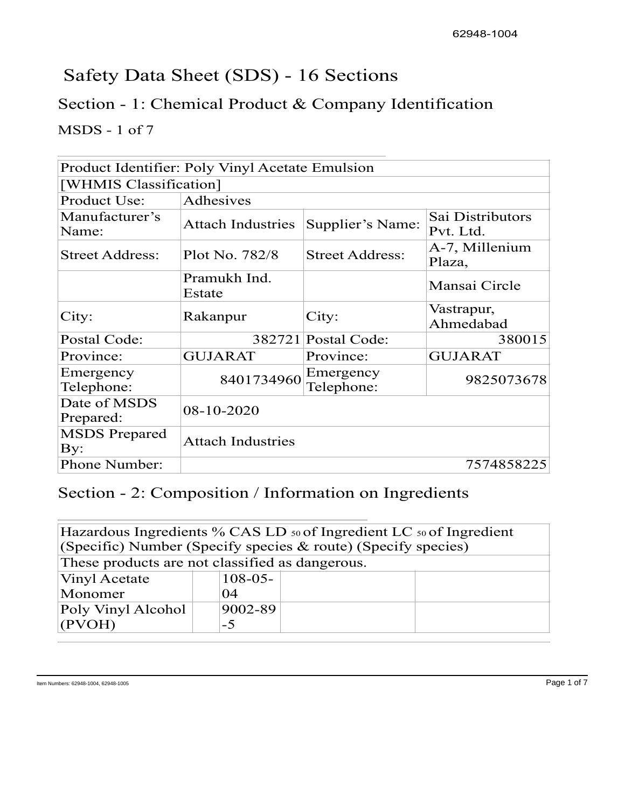# Safety Data Sheet (SDS) - 16 Sections

## Section - 1: Chemical Product & Company Identification

#### MSDS - 1 of 7

|                                           | Product Identifier: Poly Vinyl Acetate Emulsion |                         |                               |
|-------------------------------------------|-------------------------------------------------|-------------------------|-------------------------------|
| [WHMIS Classification]                    |                                                 |                         |                               |
| Product Use:                              | Adhesives                                       |                         |                               |
| Manufacturer's<br>Name:                   | <b>Attach Industries</b>                        | Supplier's Name:        | Sai Distributors<br>Pvt. Ltd. |
| <b>Street Address:</b>                    | Plot No. 782/8                                  | <b>Street Address:</b>  | A-7, Millenium<br>Plaza,      |
|                                           | Pramukh Ind.<br>Estate                          |                         | Mansai Circle                 |
| City:                                     | Rakanpur                                        | City:                   | Vastrapur,<br>Ahmedabad       |
| Postal Code:                              |                                                 | 382721 Postal Code:     | 380015                        |
| Province:                                 | <b>GUJARAT</b>                                  | Province:               | <b>GUJARAT</b>                |
| Emergency<br>Telephone:                   | 8401734960                                      | Emergency<br>Telephone: | 9825073678                    |
| Date of MSDS<br>Prepared:                 | 08-10-2020                                      |                         |                               |
| <b>MSDS</b> Prepared<br>$\overline{By}$ : | <b>Attach Industries</b>                        |                         |                               |
| Phone Number:                             |                                                 |                         | 7574858225                    |

### Section - 2: Composition / Information on Ingredients

| Hazardous Ingredients % CAS LD 50 of Ingredient LC 50 of Ingredient |              |  |  |
|---------------------------------------------------------------------|--------------|--|--|
| (Specific) Number (Specify species $\&$ route) (Specify species)    |              |  |  |
| These products are not classified as dangerous.                     |              |  |  |
| Vinyl Acetate                                                       | $108 - 05 -$ |  |  |
| Monomer                                                             | 04           |  |  |
| Poly Vinyl Alcohol                                                  | 9002-89      |  |  |
| (PVOH)                                                              | -5           |  |  |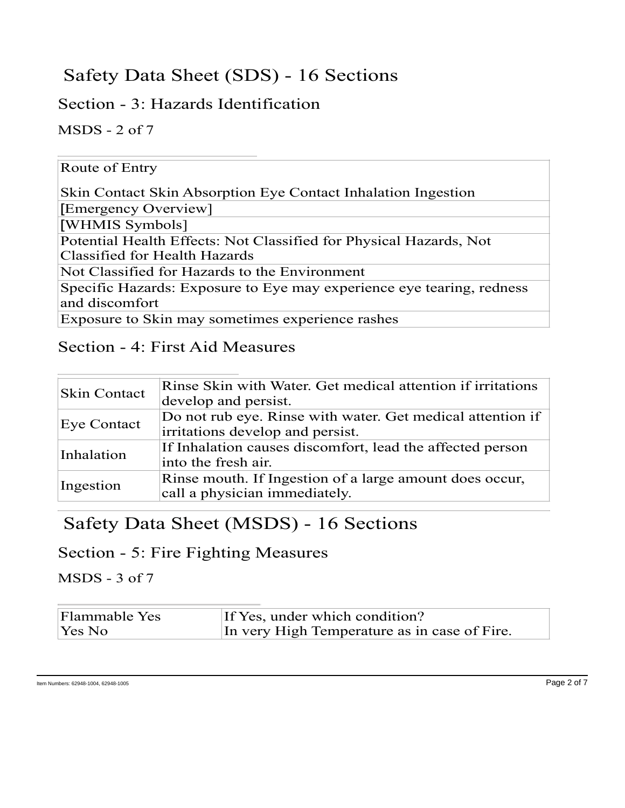# Safety Data Sheet (SDS) - 16 Sections

### Section - 3: Hazards Identification

MSDS - 2 of 7

| Route of Entry                                                        |
|-----------------------------------------------------------------------|
| Skin Contact Skin Absorption Eye Contact Inhalation Ingestion         |
| [Emergency Overview]                                                  |
| [WHMIS Symbols]                                                       |
| Potential Health Effects: Not Classified for Physical Hazards, Not    |
| Classified for Health Hazards                                         |
| Not Classified for Hazards to the Environment                         |
| Specific Hazards: Exposure to Eye may experience eye tearing, redness |
| and discomfort                                                        |
| Exposure to Skin may sometimes experience rashes                      |

#### Section - 4: First Aid Measures

| <b>Skin Contact</b> | Rinse Skin with Water. Get medical attention if irritations<br>develop and persist.            |
|---------------------|------------------------------------------------------------------------------------------------|
| Eye Contact         | Do not rub eye. Rinse with water. Get medical attention if<br>irritations develop and persist. |
| Inhalation          | If Inhalation causes discomfort, lead the affected person<br>into the fresh air.               |
| Ingestion           | Rinse mouth. If Ingestion of a large amount does occur,<br>call a physician immediately.       |

## Safety Data Sheet (MSDS) - 16 Sections

Section - 5: Fire Fighting Measures

MSDS - 3 of 7

| Flammable Yes | If Yes, under which condition?               |
|---------------|----------------------------------------------|
| Yes No        | In very High Temperature as in case of Fire. |

Item Numbers: 62948-1004, 62948-1005 Page 2 of 7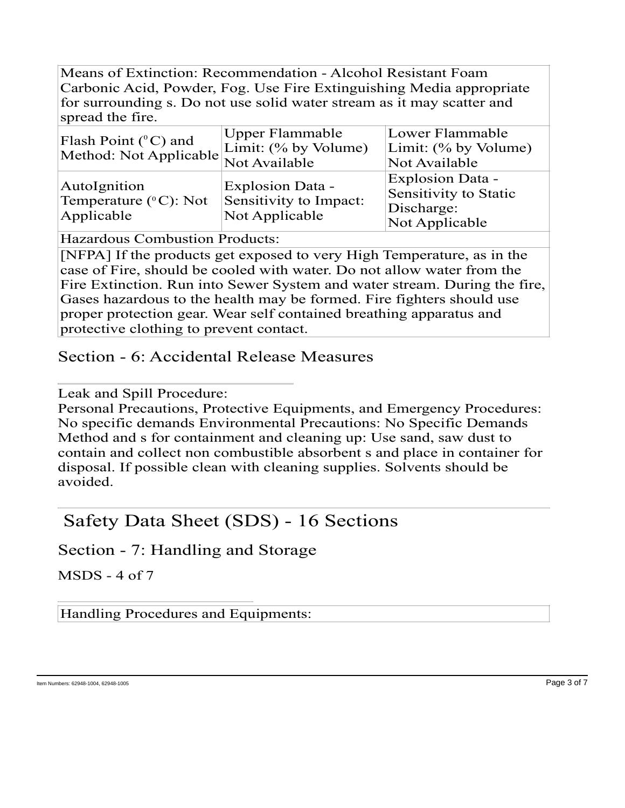Means of Extinction: Recommendation - Alcohol Resistant Foam Carbonic Acid, Powder, Fog. Use Fire Extinguishing Media appropriate for surrounding s. Do not use solid water stream as it may scatter and spread the fire.

| Flash Point $(^{\circ}C)$ and<br>Method: Not Applicable Limit: (% by Volume) | <b>Upper Flammable</b>                                              | Lower Flammable<br>Limit: (% by Volume)<br>Not Available                         |
|------------------------------------------------------------------------------|---------------------------------------------------------------------|----------------------------------------------------------------------------------|
| AutoIgnition<br>Temperature $(^{\circ}C)$ : Not<br>Applicable                | <b>Explosion Data -</b><br>Sensitivity to Impact:<br>Not Applicable | <b>Explosion Data -</b><br>Sensitivity to Static<br>Discharge:<br>Not Applicable |

Hazardous Combustion Products:

[NFPA] If the products get exposed to very High Temperature, as in the case of Fire, should be cooled with water. Do not allow water from the Fire Extinction. Run into Sewer System and water stream. During the fire, Gases hazardous to the health may be formed. Fire fighters should use proper protection gear. Wear self contained breathing apparatus and protective clothing to prevent contact.

Section - 6: Accidental Release Measures

Leak and Spill Procedure:

Personal Precautions, Protective Equipments, and Emergency Procedures: No specific demands Environmental Precautions: No Specific Demands Method and s for containment and cleaning up: Use sand, saw dust to contain and collect non combustible absorbent s and place in container for disposal. If possible clean with cleaning supplies. Solvents should be avoided.

Safety Data Sheet (SDS) - 16 Sections

Section - 7: Handling and Storage

MSDS - 4 of 7

Handling Procedures and Equipments:

Item Numbers: 62948-1004, 62948-1005 Page 3 of 7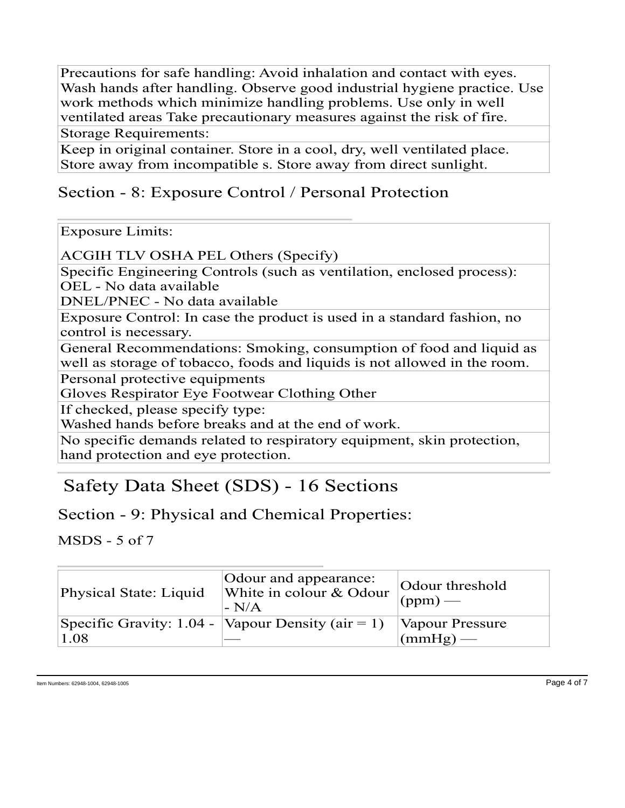Precautions for safe handling: Avoid inhalation and contact with eyes. Wash hands after handling. Observe good industrial hygiene practice. Use work methods which minimize handling problems. Use only in well ventilated areas Take precautionary measures against the risk of fire. Storage Requirements:

Keep in original container. Store in a cool, dry, well ventilated place. Store away from incompatible s. Store away from direct sunlight.

#### Section - 8: Exposure Control / Personal Protection

Exposure Limits:

ACGIH TLV OSHA PEL Others (Specify)

Specific Engineering Controls (such as ventilation, enclosed process): OEL - No data available

DNEL/PNEC - No data available

Exposure Control: In case the product is used in a standard fashion, no control is necessary.

General Recommendations: Smoking, consumption of food and liquid as well as storage of tobacco, foods and liquids is not allowed in the room.

Personal protective equipments

Gloves Respirator Eye Footwear Clothing Other

If checked, please specify type:

Washed hands before breaks and at the end of work.

No specific demands related to respiratory equipment, skin protection, hand protection and eye protection.

## Safety Data Sheet (SDS) - 16 Sections

Section - 9: Physical and Chemical Properties:

MSDS - 5 of 7

| Physical State: Liquid | Odour and appearance:<br>White in colour & Odour<br>$\overline{\phantom{a}}$ - N/A | Odour threshold<br>$(ppm)$ —  |
|------------------------|------------------------------------------------------------------------------------|-------------------------------|
| 1.08                   | Specific Gravity: 1.04 -   Vapour Density (air = 1)                                | Vapour Pressure<br>$(mmHg)$ — |

Item Numbers: 62948-1004, 62948-1005 Page 4 of 7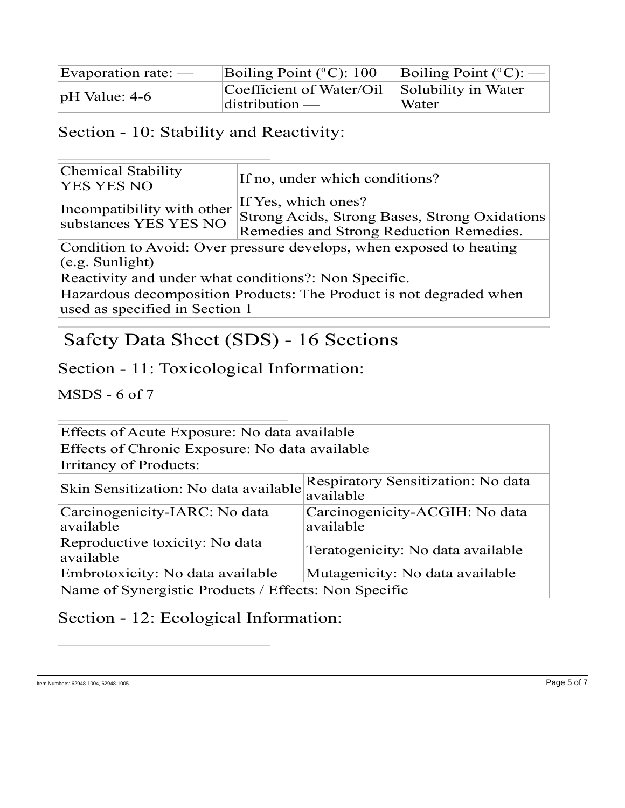| $\text{Evaporation rate:}$ — | Boiling Point $(^{\circ}C)$ : 100 | Boiling Point $(^{\circ}C)$ : — |
|------------------------------|-----------------------------------|---------------------------------|
| $pH$ Value: 4-6              | Coefficient of Water/Oil          | Solubility in Water             |
|                              | $\det$ distribution —             | Water                           |

#### Section - 10: Stability and Reactivity:

| <b>Chemical Stability</b><br>YES YES NO                                                                                                                                | If no, under which conditions? |  |
|------------------------------------------------------------------------------------------------------------------------------------------------------------------------|--------------------------------|--|
| If Yes, which ones?<br>Incompatibility with other<br>Strong Acids, Strong Bases, Strong Oxidations<br>substances YES YES NO<br>Remedies and Strong Reduction Remedies. |                                |  |
| Condition to Avoid: Over pressure develops, when exposed to heating<br>(e.g. Sunlight)                                                                                 |                                |  |
| Reactivity and under what conditions?: Non Specific.                                                                                                                   |                                |  |
| Hazardous decomposition Products: The Product is not degraded when<br>used as specified in Section 1                                                                   |                                |  |

# Safety Data Sheet (SDS) - 16 Sections

### Section - 11: Toxicological Information:

MSDS - 6 of 7

| Effects of Acute Exposure: No data available                                     |                                                 |  |
|----------------------------------------------------------------------------------|-------------------------------------------------|--|
| Effects of Chronic Exposure: No data available                                   |                                                 |  |
| <b>Irritancy of Products:</b>                                                    |                                                 |  |
| Skin Sensitization: No data available                                            | Respiratory Sensitization: No data<br>available |  |
| Carcinogenicity-IARC: No data<br>available                                       | Carcinogenicity-ACGIH: No data<br>available     |  |
| Reproductive toxicity: No data<br>Teratogenicity: No data available<br>available |                                                 |  |
| Embrotoxicity: No data available<br>Mutagenicity: No data available              |                                                 |  |
| Name of Synergistic Products / Effects: Non Specific                             |                                                 |  |

#### Section - 12: Ecological Information: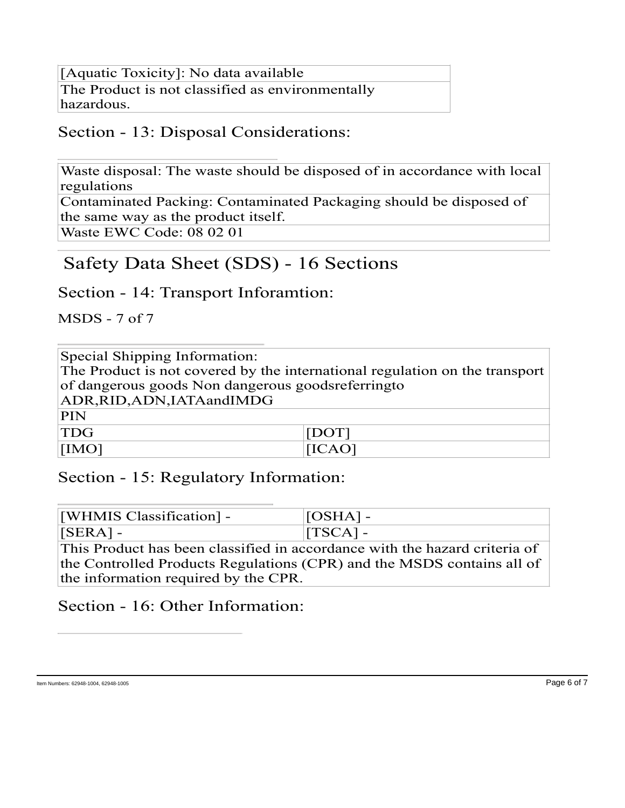[Aquatic Toxicity]: No data available The Product is not classified as environmentally hazardous.

### Section - 13: Disposal Considerations:

Waste disposal: The waste should be disposed of in accordance with local regulations

Contaminated Packing: Contaminated Packaging should be disposed of the same way as the product itself.

Waste EWC Code: 08 02 01

### Safety Data Sheet (SDS) - 16 Sections

Section - 14: Transport Inforamtion:

MSDS - 7 of 7

| Special Shipping Information:                                               |                                                   |  |  |
|-----------------------------------------------------------------------------|---------------------------------------------------|--|--|
| The Product is not covered by the international regulation on the transport |                                                   |  |  |
|                                                                             | of dangerous goods Non dangerous goodsreferringto |  |  |
| ADR, RID, ADN, IATA and IMDG                                                |                                                   |  |  |
| PIN                                                                         |                                                   |  |  |
| <b>TDG</b>                                                                  | [DOT]                                             |  |  |
| [IMO]                                                                       | [ICAO]                                            |  |  |

#### Section - 15: Regulatory Information:

| [WHMIS Classification] -                                                   | $[OSHA]$ - |  |
|----------------------------------------------------------------------------|------------|--|
| $[SERA]$ -                                                                 | $[TSCA]$ - |  |
| This Product has been classified in accordance with the hazard criteria of |            |  |
| the Controlled Products Regulations (CPR) and the MSDS contains all of     |            |  |
| the information required by the CPR.                                       |            |  |

#### Section - 16: Other Information: